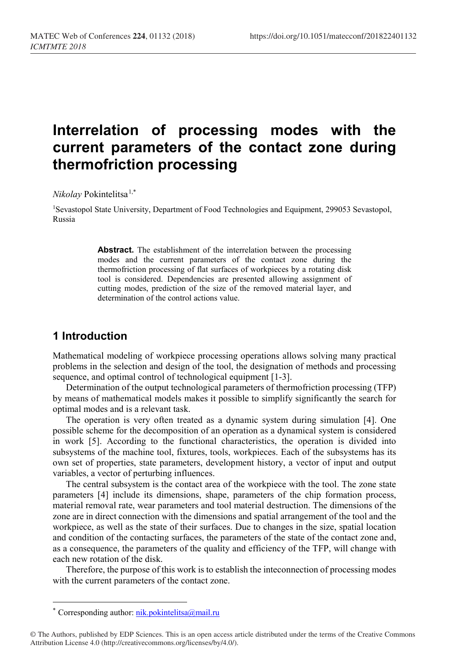# **Interrelation of processing modes with the current parameters of the contact zone during thermofriction processing**

*Nikolay* Pokintelitsa[1](#page-0-0),\*

1Sevastopol State University, Department of Food Technologies and Equipment, 299053 Sevastopol, Russia

> **Abstract.** The establishment of the interrelation between the processing modes and the current parameters of the contact zone during the thermofriction processing of flat surfaces of workpieces by a rotating disk tool is considered. Dependencies are presented allowing assignment of cutting modes, prediction of the size of the removed material layer, and determination of the control actions value.

#### **1 Introduction**

Mathematical modeling of workpiece processing operations allows solving many practical problems in the selection and design of the tool, the designation of methods and processing sequence, and optimal control of technological equipment [1-3].

Determination of the output technological parameters of thermofriction processing (TFP) by means of mathematical models makes it possible to simplify significantly the search for optimal modes and is a relevant task.

The operation is very often treated as a dynamic system during simulation [4]. One possible scheme for the decomposition of an operation as a dynamical system is considered in work [5]. According to the functional characteristics, the operation is divided into subsystems of the machine tool, fixtures, tools, workpieces. Each of the subsystems has its own set of properties, state parameters, development history, a vector of input and output variables, a vector of perturbing influences.

The central subsystem is the contact area of the workpiece with the tool. The zone state parameters [4] include its dimensions, shape, parameters of the chip formation process, material removal rate, wear parameters and tool material destruction. The dimensions of the zone are in direct connection with the dimensions and spatial arrangement of the tool and the workpiece, as well as the state of their surfaces. Due to changes in the size, spatial location and condition of the contacting surfaces, the parameters of the state of the contact zone and, as a consequence, the parameters of the quality and efficiency of the TFP, will change with each new rotation of the disk.

Therefore, the purpose of this work is to establish the inteconnection of processing modes with the current parameters of the contact zone.

 $\overline{\phantom{a}}$ 

<sup>\*</sup> Corresponding author: [nik.pokintelitsa@mail.ru](mailto:nik.pokintelitsa@mail.ru)

<span id="page-0-0"></span><sup>©</sup> The Authors, published by EDP Sciences. This is an open access article distributed under the terms of the Creative Commons Attribution License 4.0 (http://creativecommons.org/licenses/by/4.0/).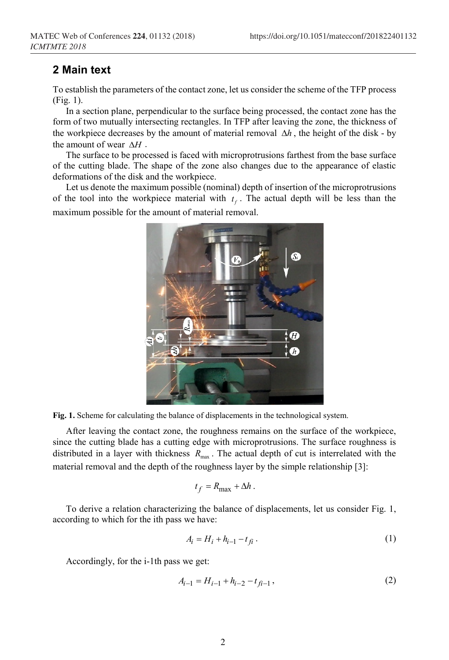#### **2 Main text**

To establish the parameters of the contact zone, let us consider the scheme of the TFP process (Fig. 1).

In a section plane, perpendicular to the surface being processed, the contact zone has the form of two mutually intersecting rectangles. In TFP after leaving the zone, the thickness of the workpiece decreases by the amount of material removal ∆*h* , the height of the disk - by the amount of wear ∆*H* .

The surface to be processed is faced with microprotrusions farthest from the base surface of the cutting blade. The shape of the zone also changes due to the appearance of elastic deformations of the disk and the workpiece.

Let us denote the maximum possible (nominal) depth of insertion of the microprotrusions of the tool into the workpiece material with  $t_f$ . The actual depth will be less than the maximum possible for the amount of material removal.



**Fig. 1.** Scheme for calculating the balance of displacements in the technological system.

After leaving the contact zone, the roughness remains on the surface of the workpiece, since the cutting blade has a cutting edge with microprotrusions. The surface roughness is distributed in a layer with thickness  $R_{\text{max}}$ . The actual depth of cut is interrelated with the material removal and the depth of the roughness layer by the simple relationship [3]:

$$
t_f = R_{\text{max}} + \Delta h \,.
$$

To derive a relation characterizing the balance of displacements, let us consider Fig. 1, according to which for the ith pass we have:

$$
A_i = H_i + h_{i-1} - t_{fi} \tag{1}
$$

Accordingly, for the i-1th pass we get:

$$
A_{i-1} = H_{i-1} + h_{i-2} - t_{f_i-1},
$$
\n(2)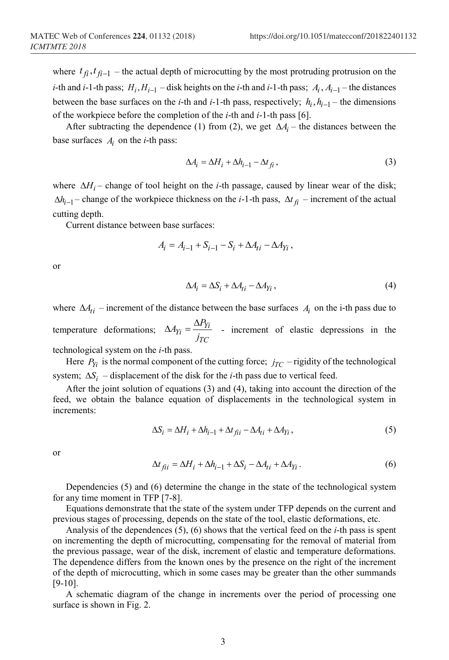where  $t_{\hat{H}}$ ,  $t_{\hat{H}-1}$  – the actual depth of microcutting by the most protruding protrusion on the *i*-th and *i*-1-th pass;  $H_i$ ,  $H_{i-1}$  – disk heights on the *i*-th and *i*-1-th pass;  $A_i$ ,  $A_{i-1}$  – the distances between the base surfaces on the *i*-th and *i*-1-th pass, respectively;  $h_i$ ,  $h_{i-1}$  – the dimensions of the workpiece before the completion of the *i*-th and *i*-1-th pass [6].

After subtracting the dependence (1) from (2), we get  $\Delta A_i$  – the distances between the base surfaces  $A_i$  on the *i*-th pass:

$$
\Delta A_i = \Delta H_i + \Delta h_{i-1} - \Delta t_{fi},\tag{3}
$$

where ∆*H<sub>i</sub>* – change of tool height on the *i*-th passage, caused by linear wear of the disk;  $\Delta h_{i-1}$  – change of the workpiece thickness on the *i*-1-th pass,  $\Delta t_{fi}$  – increment of the actual cutting depth.

Current distance between base surfaces:

$$
A_i = A_{i-1} + S_{i-1} - S_i + \Delta A_{ti} - \Delta A_{Yi} ,
$$

or

$$
\Delta A_i = \Delta S_i + \Delta A_{ti} - \Delta A_{Yi} \,, \tag{4}
$$

where  $\Delta A_{ti}$  – increment of the distance between the base surfaces  $A_i$  on the i-th pass due to temperature deformations;  $\Delta A_{Y_i} = \frac{\Delta F_{Y_i}}{I}$ *TC*  $A_{Y_i} = \frac{\Delta P_i}{\Delta}$  $\Delta A_{Yi} = \frac{\Delta P_{Yi}}{f_{TC}}$  - increment of elastic depressions in the technological system on the *i*-th pass.

Here  $P_{Yi}$  is the normal component of the cutting force;  $j_{TC}$  – rigidity of the technological system;  $\Delta S_i$  – displacement of the disk for the *i*-th pass due to vertical feed.

After the joint solution of equations (3) and (4), taking into account the direction of the feed, we obtain the balance equation of displacements in the technological system in increments:

$$
\Delta S_i = \Delta H_i + \Delta h_{i-1} + \Delta t_{\text{fit}} - \Delta A_{ti} + \Delta A_{Yi},\tag{5}
$$

or

$$
\Delta t_{\hat{f}il} = \Delta H_i + \Delta h_{i-1} + \Delta S_i - \Delta A_{ti} + \Delta A_{Yi}.
$$
\n<sup>(6)</sup>

Dependencies (5) and (6) determine the change in the state of the technological system for any time moment in TFP [7-8].

Equations demonstrate that the state of the system under TFP depends on the current and previous stages of processing, depends on the state of the tool, elastic deformations, etc.

Analysis of the dependences (5), (6) shows that the vertical feed on the *i*-th pass is spent on incrementing the depth of microcutting, compensating for the removal of material from the previous passage, wear of the disk, increment of elastic and temperature deformations. The dependence differs from the known ones by the presence on the right of the increment of the depth of microcutting, which in some cases may be greater than the other summands [9-10].

A schematic diagram of the change in increments over the period of processing one surface is shown in Fig. 2.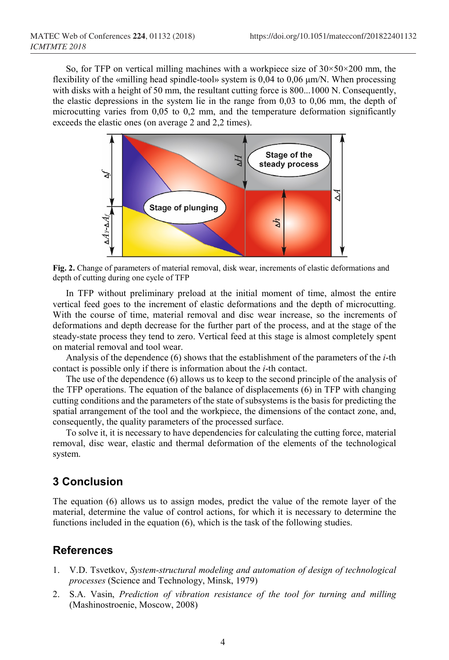So, for TFP on vertical milling machines with a workpiece size of  $30 \times 50 \times 200$  mm, the flexibility of the «milling head spindle-tool» system is 0,04 to 0,06 μm/N. When processing with disks with a height of 50 mm, the resultant cutting force is 800...1000 N. Consequently, the elastic depressions in the system lie in the range from 0,03 to 0,06 mm, the depth of microcutting varies from 0,05 to 0,2 mm, and the temperature deformation significantly exceeds the elastic ones (on average 2 and 2,2 times).



**Fig. 2.** Change of parameters of material removal, disk wear, increments of elastic deformations and depth of cutting during one cycle of TFP

In TFP without preliminary preload at the initial moment of time, almost the entire vertical feed goes to the increment of elastic deformations and the depth of microcutting. With the course of time, material removal and disc wear increase, so the increments of deformations and depth decrease for the further part of the process, and at the stage of the steady-state process they tend to zero. Vertical feed at this stage is almost completely spent on material removal and tool wear.

Analysis of the dependence (6) shows that the establishment of the parameters of the *i*-th contact is possible only if there is information about the *i*-th contact.

The use of the dependence (6) allows us to keep to the second principle of the analysis of the TFP operations. The equation of the balance of displacements (6) in TFP with changing cutting conditions and the parameters of the state of subsystems is the basis for predicting the spatial arrangement of the tool and the workpiece, the dimensions of the contact zone, and, consequently, the quality parameters of the processed surface.

To solve it, it is necessary to have dependencies for calculating the cutting force, material removal, disc wear, elastic and thermal deformation of the elements of the technological system.

## **3 Conclusion**

The equation (6) allows us to assign modes, predict the value of the remote layer of the material, determine the value of control actions, for which it is necessary to determine the functions included in the equation (6), which is the task of the following studies.

### **References**

- 1. V.D. Tsvetkov, *System-structural modeling and automation of design of technological processes* (Science and Technology, Minsk, 1979)
- 2. S.A. Vasin, *Prediction of vibration resistance of the tool for turning and milling* (Mashinostroenie, Moscow, 2008)